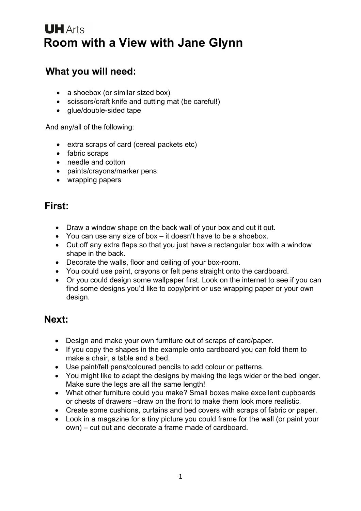# **UH** Arts **Room with a View with Jane Glynn**

#### **What you will need:**

- a shoebox (or similar sized box)
- scissors/craft knife and cutting mat (be careful!)
- glue/double-sided tape

And any/all of the following:

- extra scraps of card (cereal packets etc)
- fabric scraps
- needle and cotton
- paints/crayons/marker pens
- wrapping papers

#### **First:**

- Draw a window shape on the back wall of your box and cut it out.
- You can use any size of box it doesn't have to be a shoebox.
- Cut off any extra flaps so that you just have a rectangular box with a window shape in the back.
- Decorate the walls, floor and ceiling of your box-room.
- You could use paint, crayons or felt pens straight onto the cardboard.
- Or you could design some wallpaper first. Look on the internet to see if you can find some designs you'd like to copy/print or use wrapping paper or your own design.

### **Next:**

- Design and make your own furniture out of scraps of card/paper.
- If you copy the shapes in the example onto cardboard you can fold them to make a chair, a table and a bed.
- Use paint/felt pens/coloured pencils to add colour or patterns.
- You might like to adapt the designs by making the legs wider or the bed longer. Make sure the legs are all the same length!
- What other furniture could you make? Small boxes make excellent cupboards or chests of drawers –draw on the front to make them look more realistic.
- Create some cushions, curtains and bed covers with scraps of fabric or paper.
- Look in a magazine for a tiny picture you could frame for the wall (or paint your own) – cut out and decorate a frame made of cardboard.